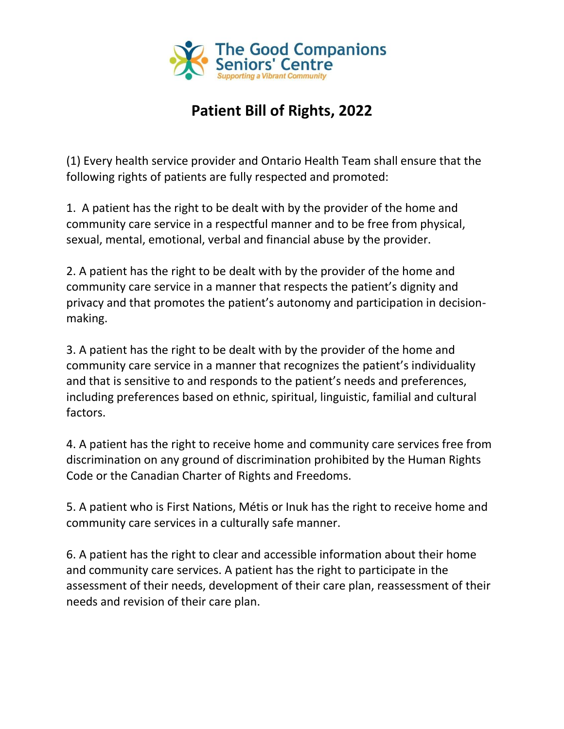

## **Patient Bill of Rights, 2022**

(1) Every health service provider and Ontario Health Team shall ensure that the following rights of patients are fully respected and promoted:

1. A patient has the right to be dealt with by the provider of the home and community care service in a respectful manner and to be free from physical, sexual, mental, emotional, verbal and financial abuse by the provider.

2. A patient has the right to be dealt with by the provider of the home and community care service in a manner that respects the patient's dignity and privacy and that promotes the patient's autonomy and participation in decisionmaking.

3. A patient has the right to be dealt with by the provider of the home and community care service in a manner that recognizes the patient's individuality and that is sensitive to and responds to the patient's needs and preferences, including preferences based on ethnic, spiritual, linguistic, familial and cultural factors.

4. A patient has the right to receive home and community care services free from discrimination on any ground of discrimination prohibited by the Human Rights Code or the Canadian Charter of Rights and Freedoms.

5. A patient who is First Nations, Métis or Inuk has the right to receive home and community care services in a culturally safe manner.

6. A patient has the right to clear and accessible information about their home and community care services. A patient has the right to participate in the assessment of their needs, development of their care plan, reassessment of their needs and revision of their care plan.